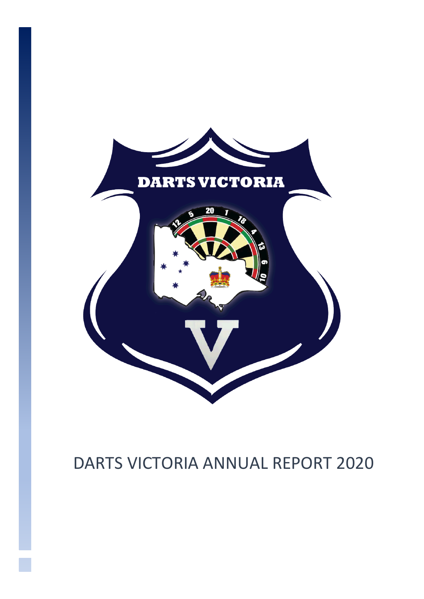

# DARTS VICTORIA ANNUAL REPORT 2020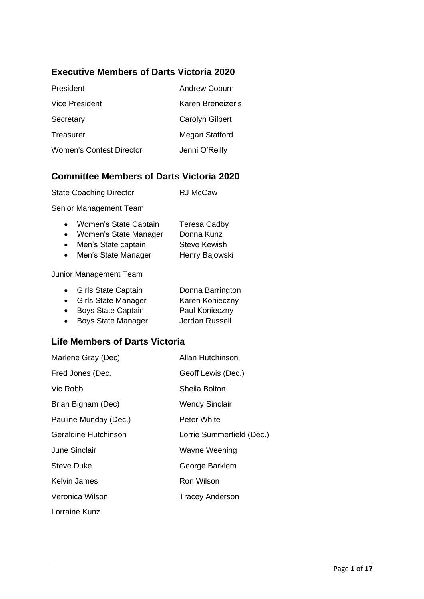# **Executive Members of Darts Victoria 2020**

| President                       | Andrew Coburn          |
|---------------------------------|------------------------|
| <b>Vice President</b>           | Karen Breneizeris      |
| Secretary                       | <b>Carolyn Gilbert</b> |
| Treasurer                       | Megan Stafford         |
| <b>Women's Contest Director</b> | Jenni O'Reilly         |

# **Committee Members of Darts Victoria 2020**

| <b>State Coaching Director</b> | <b>RJ McCaw</b> |
|--------------------------------|-----------------|
|                                |                 |

Senior Management Team

| $\bullet$ | Women's State Captain | <b>Teresa Cadby</b> |
|-----------|-----------------------|---------------------|
| $\bullet$ | Women's State Manager | Donna Kunz          |
| $\bullet$ | Men's State captain   | <b>Steve Kewish</b> |
| $\bullet$ | Men's State Manager   | Henry Bajowski      |

Junior Management Team

|           | • Girls State Captain     | Donna Barrington |
|-----------|---------------------------|------------------|
|           | • Girls State Manager     | Karen Konieczny  |
| $\bullet$ | <b>Boys State Captain</b> | Paul Konieczny   |
|           |                           |                  |

• Boys State Manager Jordan Russell

# **Life Members of Darts Victoria**

| Marlene Gray (Dec)    | Allan Hutchinson          |
|-----------------------|---------------------------|
| Fred Jones (Dec.      | Geoff Lewis (Dec.)        |
| Vic Robb              | Sheila Bolton             |
| Brian Bigham (Dec)    | <b>Wendy Sinclair</b>     |
| Pauline Munday (Dec.) | Peter White               |
| Geraldine Hutchinson  | Lorrie Summerfield (Dec.) |
| June Sinclair         | Wayne Weening             |
| <b>Steve Duke</b>     | George Barklem            |
| Kelvin James          | Ron Wilson                |
| Veronica Wilson       | <b>Tracey Anderson</b>    |
| Lorraine Kunz.        |                           |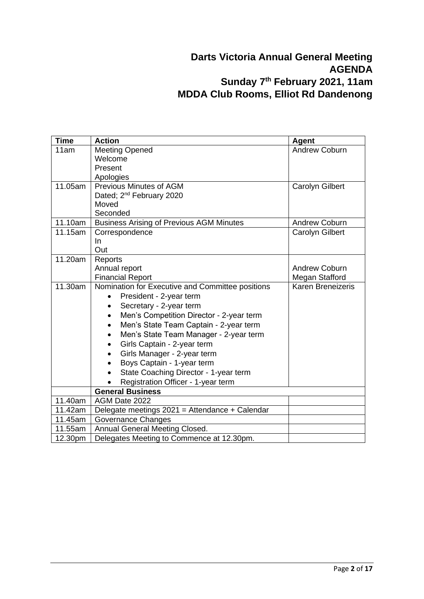# **Darts Victoria Annual General Meeting AGENDA Sunday 7 th February 2021, 11am MDDA Club Rooms, Elliot Rd Dandenong**

| <b>Time</b> | <b>Action</b>                                         | Agent                    |
|-------------|-------------------------------------------------------|--------------------------|
| 11am        | <b>Meeting Opened</b>                                 | <b>Andrew Coburn</b>     |
|             | Welcome                                               |                          |
|             | Present                                               |                          |
|             | Apologies                                             |                          |
| 11.05am     | <b>Previous Minutes of AGM</b>                        | <b>Carolyn Gilbert</b>   |
|             | Dated; 2 <sup>nd</sup> February 2020                  |                          |
|             | Moved                                                 |                          |
|             | Seconded                                              |                          |
| 11.10am     | <b>Business Arising of Previous AGM Minutes</b>       | <b>Andrew Coburn</b>     |
| 11.15am     | Correspondence                                        | Carolyn Gilbert          |
|             | In.                                                   |                          |
|             | Out                                                   |                          |
| 11.20am     | Reports                                               | <b>Andrew Coburn</b>     |
|             | Annual report<br><b>Financial Report</b>              | Megan Stafford           |
| 11.30am     | Nomination for Executive and Committee positions      | <b>Karen Breneizeris</b> |
|             | President - 2-year term                               |                          |
|             | Secretary - 2-year term<br>$\bullet$                  |                          |
|             | Men's Competition Director - 2-year term<br>$\bullet$ |                          |
|             | Men's State Team Captain - 2-year term<br>$\bullet$   |                          |
|             | Men's State Team Manager - 2-year term<br>$\bullet$   |                          |
|             | Girls Captain - 2-year term                           |                          |
|             | Girls Manager - 2-year term                           |                          |
|             | Boys Captain - 1-year term                            |                          |
|             | State Coaching Director - 1-year term                 |                          |
|             | Registration Officer - 1-year term                    |                          |
|             | <b>General Business</b>                               |                          |
| 11.40am     | AGM Date 2022                                         |                          |
| 11.42am     | Delegate meetings 2021 = Attendance + Calendar        |                          |
| 11.45am     | Governance Changes                                    |                          |
| 11.55am     | Annual General Meeting Closed.                        |                          |
| 12.30pm     | Delegates Meeting to Commence at 12.30pm.             |                          |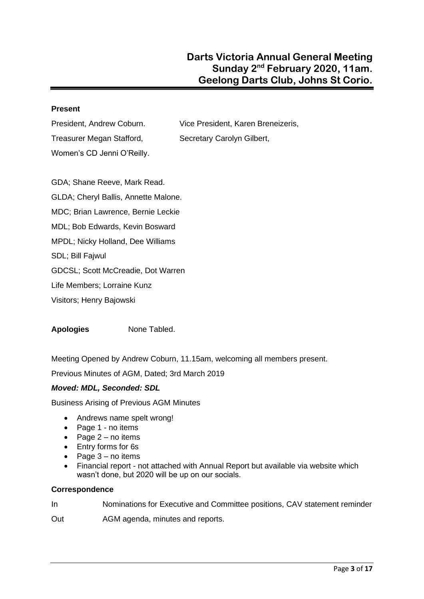### **Present**

Treasurer Megan Stafford, Secretary Carolyn Gilbert, Women's CD Jenni O'Reilly.

President, Andrew Coburn. Vice President, Karen Breneizeris,

GDA; Shane Reeve, Mark Read. GLDA; Cheryl Ballis, Annette Malone. MDC; Brian Lawrence, Bernie Leckie MDL; Bob Edwards, Kevin Bosward MPDL; Nicky Holland, Dee Williams SDL; Bill Fajwul GDCSL; Scott McCreadie, Dot Warren Life Members; Lorraine Kunz Visitors; Henry Bajowski

**Apologies** None Tabled.

Meeting Opened by Andrew Coburn, 11.15am, welcoming all members present.

Previous Minutes of AGM, Dated; 3rd March 2019

### *Moved: MDL, Seconded: SDL*

Business Arising of Previous AGM Minutes

- Andrews name spelt wrong!
- Page 1 no items
- Page  $2 no$  items
- Entry forms for 6s
- Page 3 no items
- Financial report not attached with Annual Report but available via website which wasn't done, but 2020 will be up on our socials.

#### **Correspondence**

In Nominations for Executive and Committee positions, CAV statement reminder

Out **AGM** agenda, minutes and reports.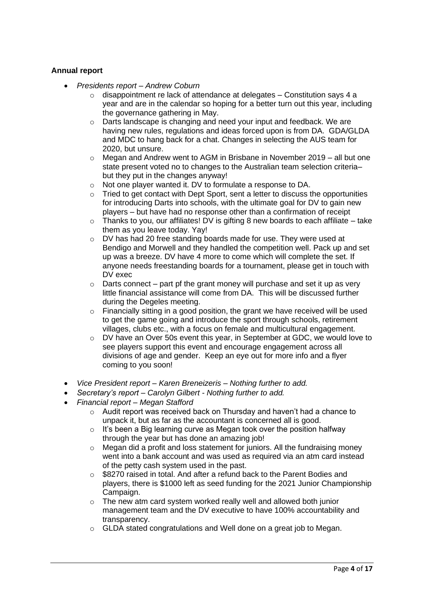### **Annual report**

- *Presidents report – Andrew Coburn*
	- $\circ$  disappointment re lack of attendance at delegates Constitution says 4 a year and are in the calendar so hoping for a better turn out this year, including the governance gathering in May.
	- $\circ$  Darts landscape is changing and need your input and feedback. We are having new rules, regulations and ideas forced upon is from DA. GDA/GLDA and MDC to hang back for a chat. Changes in selecting the AUS team for 2020, but unsure.
	- $\circ$  Megan and Andrew went to AGM in Brisbane in November 2019 all but one state present voted no to changes to the Australian team selection criteria– but they put in the changes anyway!
	- o Not one player wanted it. DV to formulate a response to DA.
	- $\circ$  Tried to get contact with Dept Sport, sent a letter to discuss the opportunities for introducing Darts into schools, with the ultimate goal for DV to gain new players – but have had no response other than a confirmation of receipt
	- $\circ$  Thanks to you, our affiliates! DV is gifting 8 new boards to each affiliate take them as you leave today. Yay!
	- o DV has had 20 free standing boards made for use. They were used at Bendigo and Morwell and they handled the competition well. Pack up and set up was a breeze. DV have 4 more to come which will complete the set. If anyone needs freestanding boards for a tournament, please get in touch with DV exec
	- $\circ$  Darts connect part pf the grant money will purchase and set it up as very little financial assistance will come from DA. This will be discussed further during the Degeles meeting.
	- $\circ$  Financially sitting in a good position, the grant we have received will be used to get the game going and introduce the sport through schools, retirement villages, clubs etc., with a focus on female and multicultural engagement.
	- o DV have an Over 50s event this year, in September at GDC, we would love to see players support this event and encourage engagement across all divisions of age and gender. Keep an eye out for more info and a flyer coming to you soon!
- *Vice President report – Karen Breneizeris – Nothing further to add.*
- *Secretary's report – Carolyn Gilbert - Nothing further to add.*
- *Financial report – Megan Stafford*
	- o Audit report was received back on Thursday and haven't had a chance to unpack it, but as far as the accountant is concerned all is good.
	- $\circ$  It's been a Big learning curve as Megan took over the position halfway through the year but has done an amazing job!
	- o Megan did a profit and loss statement for juniors. All the fundraising money went into a bank account and was used as required via an atm card instead of the petty cash system used in the past.
	- o \$8270 raised in total. And after a refund back to the Parent Bodies and players, there is \$1000 left as seed funding for the 2021 Junior Championship Campaign.
	- o The new atm card system worked really well and allowed both junior management team and the DV executive to have 100% accountability and transparency.
	- o GLDA stated congratulations and Well done on a great job to Megan.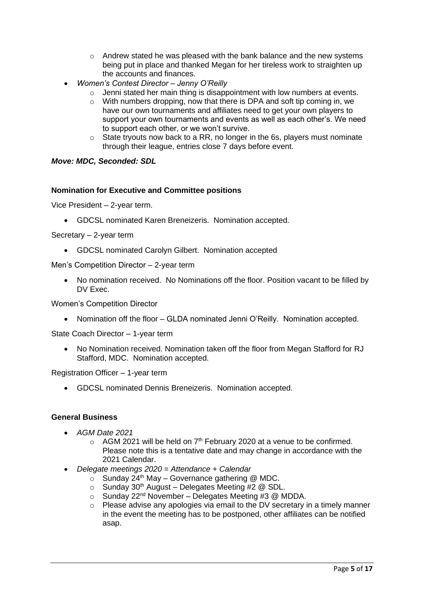- $\circ$  Andrew stated he was pleased with the bank balance and the new systems being put in place and thanked Megan for her tireless work to straighten up the accounts and finances.
- *Women's Contest Director – Jenny O'Reilly* 
	- $\circ$  Jenni stated her main thing is disappointment with low numbers at events.
	- o With numbers dropping, now that there is DPA and soft tip coming in, we have our own tournaments and affiliates need to get your own players to support your own tournaments and events as well as each other's. We need to support each other, or we won't survive.
	- $\circ$  State tryouts now back to a RR, no longer in the 6s, players must nominate through their league, entries close 7 days before event.

#### *Move: MDC, Seconded: SDL*

#### **Nomination for Executive and Committee positions**

Vice President – 2-year term.

• GDCSL nominated Karen Breneizeris. Nomination accepted.

#### Secretary – 2-year term

• GDCSL nominated Carolyn Gilbert. Nomination accepted

Men's Competition Director – 2-year term

• No nomination received. No Nominations off the floor. Position vacant to be filled by DV Exec.

Women's Competition Director

• Nomination off the floor – GLDA nominated Jenni O'Reilly. Nomination accepted.

State Coach Director – 1-year term

• No Nomination received. Nomination taken off the floor from Megan Stafford for RJ Stafford, MDC. Nomination accepted.

Registration Officer – 1-year term

• GDCSL nominated Dennis Breneizeris. Nomination accepted.

#### **General Business**

- *AGM Date 2021*
	- $\circ$  AGM 2021 will be held on 7<sup>th</sup> February 2020 at a venue to be confirmed. Please note this is a tentative date and may change in accordance with the 2021 Calendar.
- *Delegate meetings 2020 = Attendance + Calendar*
	- $\circ$  Sunday 24<sup>th</sup> May Governance gathering @ MDC.
	- $\circ$  Sunday 30<sup>th</sup> August Delegates Meeting #2 @ SDL.
	- $\circ$  Sunday 22<sup>nd</sup> November Delegates Meeting #3 @ MDDA.
	- $\circ$  Please advise any apologies via email to the DV secretary in a timely manner in the event the meeting has to be postponed, other affiliates can be notified asap.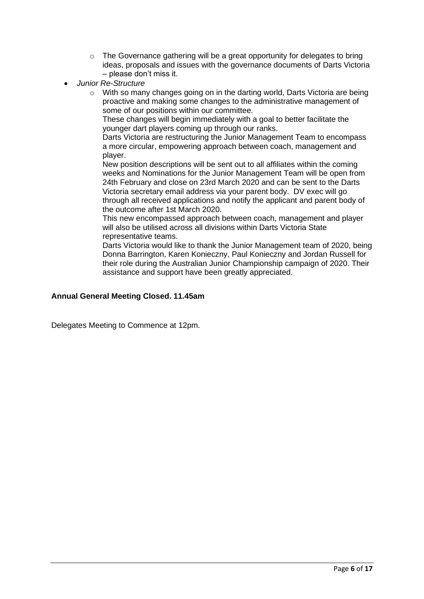- $\circ$  The Governance gathering will be a great opportunity for delegates to bring ideas, proposals and issues with the governance documents of Darts Victoria – please don't miss it.
- *Junior Re-Structure* 
	- o With so many changes going on in the darting world, Darts Victoria are being proactive and making some changes to the administrative management of some of our positions within our committee.

These changes will begin immediately with a goal to better facilitate the younger dart players coming up through our ranks.

Darts Victoria are restructuring the Junior Management Team to encompass a more circular, empowering approach between coach, management and player.

New position descriptions will be sent out to all affiliates within the coming weeks and Nominations for the Junior Management Team will be open from 24th February and close on 23rd March 2020 and can be sent to the Darts Victoria secretary email address via your parent body. DV exec will go through all received applications and notify the applicant and parent body of the outcome after 1st March 2020.

This new encompassed approach between coach, management and player will also be utilised across all divisions within Darts Victoria State representative teams.

Darts Victoria would like to thank the Junior Management team of 2020, being Donna Barrington, Karen Konieczny, Paul Konieczny and Jordan Russell for their role during the Australian Junior Championship campaign of 2020. Their assistance and support have been greatly appreciated.

### **Annual General Meeting Closed. 11.45am**

Delegates Meeting to Commence at 12pm.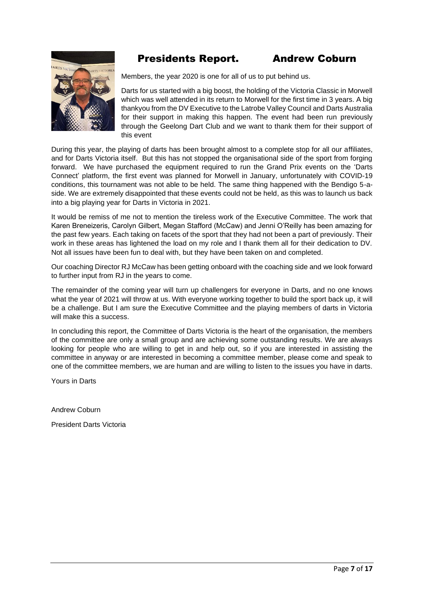

# Presidents Report. Andrew Coburn

Members, the year 2020 is one for all of us to put behind us.

Darts for us started with a big boost, the holding of the Victoria Classic in Morwell which was well attended in its return to Morwell for the first time in 3 years. A big thankyou from the DV Executive to the Latrobe Valley Council and Darts Australia for their support in making this happen. The event had been run previously through the Geelong Dart Club and we want to thank them for their support of this event

During this year, the playing of darts has been brought almost to a complete stop for all our affiliates, and for Darts Victoria itself. But this has not stopped the organisational side of the sport from forging forward. We have purchased the equipment required to run the Grand Prix events on the 'Darts Connect' platform, the first event was planned for Morwell in January, unfortunately with COVID-19 conditions, this tournament was not able to be held. The same thing happened with the Bendigo 5-aside. We are extremely disappointed that these events could not be held, as this was to launch us back into a big playing year for Darts in Victoria in 2021.

It would be remiss of me not to mention the tireless work of the Executive Committee. The work that Karen Breneizeris, Carolyn Gilbert, Megan Stafford (McCaw) and Jenni O'Reilly has been amazing for the past few years. Each taking on facets of the sport that they had not been a part of previously. Their work in these areas has lightened the load on my role and I thank them all for their dedication to DV. Not all issues have been fun to deal with, but they have been taken on and completed.

Our coaching Director RJ McCaw has been getting onboard with the coaching side and we look forward to further input from RJ in the years to come.

The remainder of the coming year will turn up challengers for everyone in Darts, and no one knows what the year of 2021 will throw at us. With everyone working together to build the sport back up, it will be a challenge. But I am sure the Executive Committee and the playing members of darts in Victoria will make this a success.

In concluding this report, the Committee of Darts Victoria is the heart of the organisation, the members of the committee are only a small group and are achieving some outstanding results. We are always looking for people who are willing to get in and help out, so if you are interested in assisting the committee in anyway or are interested in becoming a committee member, please come and speak to one of the committee members, we are human and are willing to listen to the issues you have in darts.

Yours in Darts

Andrew Coburn

President Darts Victoria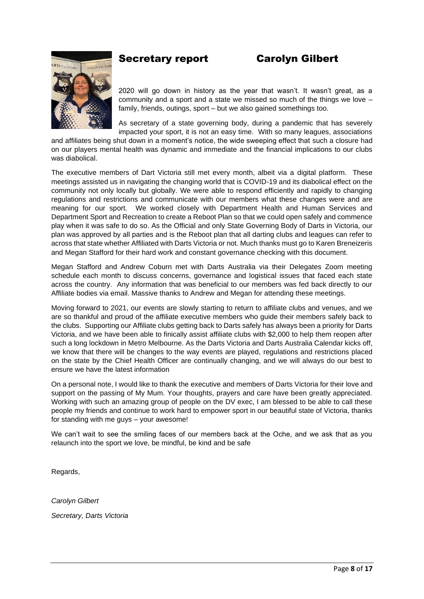# Secretary report Carolyn Gilbert

2020 will go down in history as the year that wasn't. It wasn't great, as a community and a sport and a state we missed so much of the things we love – family, friends, outings, sport – but we also gained somethings too.

As secretary of a state governing body, during a pandemic that has severely impacted your sport, it is not an easy time. With so many leagues, associations

and affiliates being shut down in a moment's notice, the wide sweeping effect that such a closure had on our players mental health was dynamic and immediate and the financial implications to our clubs was diabolical.

The executive members of Dart Victoria still met every month, albeit via a digital platform. These meetings assisted us in navigating the changing world that is COVID-19 and its diabolical effect on the community not only locally but globally. We were able to respond efficiently and rapidly to changing regulations and restrictions and communicate with our members what these changes were and are meaning for our sport. We worked closely with Department Health and Human Services and Department Sport and Recreation to create a Reboot Plan so that we could open safely and commence play when it was safe to do so. As the Official and only State Governing Body of Darts in Victoria, our plan was approved by all parties and is the Reboot plan that all darting clubs and leagues can refer to across that state whether Affiliated with Darts Victoria or not. Much thanks must go to Karen Breneizeris and Megan Stafford for their hard work and constant governance checking with this document.

Megan Stafford and Andrew Coburn met with Darts Australia via their Delegates Zoom meeting schedule each month to discuss concerns, governance and logistical issues that faced each state across the country. Any information that was beneficial to our members was fed back directly to our Affiliate bodies via email. Massive thanks to Andrew and Megan for attending these meetings.

Moving forward to 2021, our events are slowly starting to return to affiliate clubs and venues, and we are so thankful and proud of the affiliate executive members who guide their members safely back to the clubs. Supporting our Affiliate clubs getting back to Darts safely has always been a priority for Darts Victoria, and we have been able to finically assist affiliate clubs with \$2,000 to help them reopen after such a long lockdown in Metro Melbourne. As the Darts Victoria and Darts Australia Calendar kicks off, we know that there will be changes to the way events are played, regulations and restrictions placed on the state by the Chief Health Officer are continually changing, and we will always do our best to ensure we have the latest information

On a personal note, I would like to thank the executive and members of Darts Victoria for their love and support on the passing of My Mum. Your thoughts, prayers and care have been greatly appreciated. Working with such an amazing group of people on the DV exec, I am blessed to be able to call these people my friends and continue to work hard to empower sport in our beautiful state of Victoria, thanks for standing with me guys – your awesome!

We can't wait to see the smiling faces of our members back at the Oche, and we ask that as you relaunch into the sport we love, be mindful, be kind and be safe

Regards,

*Carolyn Gilbert Secretary, Darts Victoria*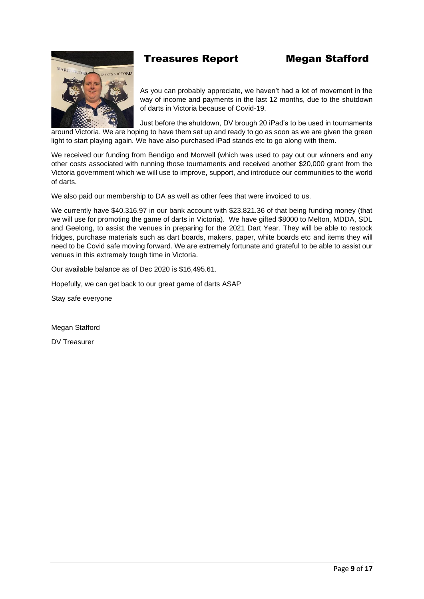# Treasures Report Megan Stafford

As you can probably appreciate, we haven't had a lot of movement in the way of income and payments in the last 12 months, due to the shutdown of darts in Victoria because of Covid-19.

Just before the shutdown, DV brough 20 iPad's to be used in tournaments around Victoria. We are hoping to have them set up and ready to go as soon as we are given the green light to start playing again. We have also purchased iPad stands etc to go along with them.

We received our funding from Bendigo and Morwell (which was used to pay out our winners and any other costs associated with running those tournaments and received another \$20,000 grant from the Victoria government which we will use to improve, support, and introduce our communities to the world of darts.

We also paid our membership to DA as well as other fees that were invoiced to us.

We currently have \$40,316.97 in our bank account with \$23,821.36 of that being funding money (that we will use for promoting the game of darts in Victoria). We have gifted \$8000 to Melton, MDDA, SDL and Geelong, to assist the venues in preparing for the 2021 Dart Year. They will be able to restock fridges, purchase materials such as dart boards, makers, paper, white boards etc and items they will need to be Covid safe moving forward. We are extremely fortunate and grateful to be able to assist our venues in this extremely tough time in Victoria.

Our available balance as of Dec 2020 is \$16,495.61.

Hopefully, we can get back to our great game of darts ASAP

Stay safe everyone

Megan Stafford

DV Treasurer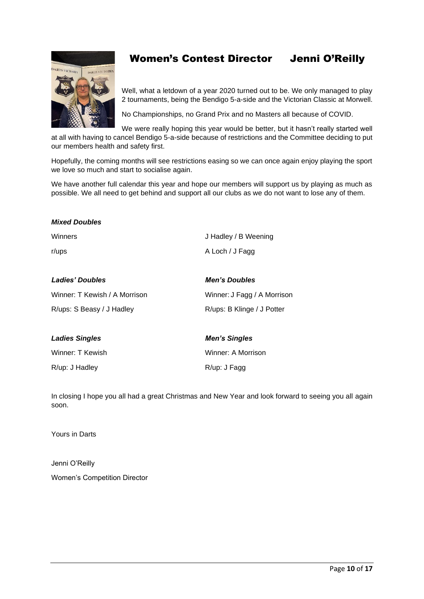

# Women's Contest Director Jenni O'Reilly

Well, what a letdown of a year 2020 turned out to be. We only managed to play 2 tournaments, being the Bendigo 5-a-side and the Victorian Classic at Morwell.

No Championships, no Grand Prix and no Masters all because of COVID.

We were really hoping this year would be better, but it hasn't really started well at all with having to cancel Bendigo 5-a-side because of restrictions and the Committee deciding to put our members health and safety first.

Hopefully, the coming months will see restrictions easing so we can once again enjoy playing the sport we love so much and start to socialise again.

We have another full calendar this year and hope our members will support us by playing as much as possible. We all need to get behind and support all our clubs as we do not want to lose any of them.

| <b>Mixed Doubles</b>          |                             |
|-------------------------------|-----------------------------|
| Winners                       | J Hadley / B Weening        |
| r/ups                         | A Loch / J Fagg             |
|                               |                             |
| <b>Ladies' Doubles</b>        | <b>Men's Doubles</b>        |
| Winner: T Kewish / A Morrison | Winner: J Fagg / A Morrison |
| R/ups: S Beasy / J Hadley     | R/ups: B Klinge / J Potter  |
|                               |                             |
| <b>Ladies Singles</b>         | <b>Men's Singles</b>        |
| Winner: T Kewish              | Winner: A Morrison          |
| R/up: J Hadley                | R/up: J Fagg                |

In closing I hope you all had a great Christmas and New Year and look forward to seeing you all again soon.

Yours in Darts

Jenni O'Reilly Women's Competition Director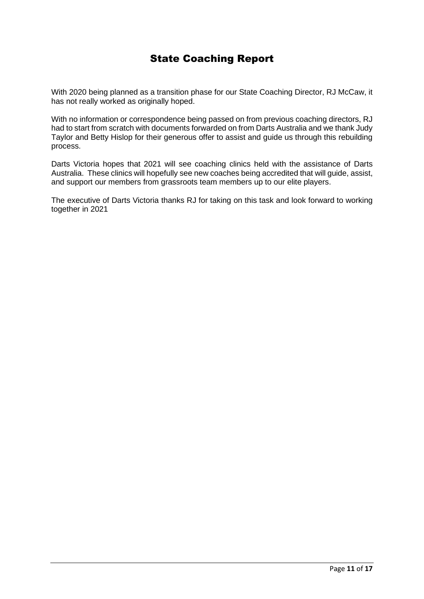# State Coaching Report

With 2020 being planned as a transition phase for our State Coaching Director, RJ McCaw, it has not really worked as originally hoped.

With no information or correspondence being passed on from previous coaching directors, RJ had to start from scratch with documents forwarded on from Darts Australia and we thank Judy Taylor and Betty Hislop for their generous offer to assist and guide us through this rebuilding process.

Darts Victoria hopes that 2021 will see coaching clinics held with the assistance of Darts Australia. These clinics will hopefully see new coaches being accredited that will guide, assist, and support our members from grassroots team members up to our elite players.

The executive of Darts Victoria thanks RJ for taking on this task and look forward to working together in 2021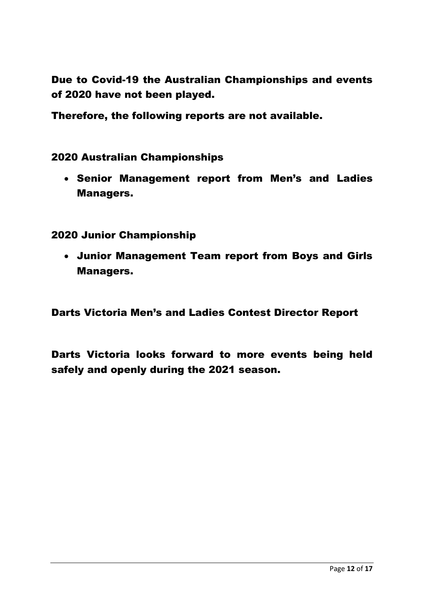Due to Covid-19 the Australian Championships and events of 2020 have not been played.

Therefore, the following reports are not available.

2020 Australian Championships

• Senior Management report from Men's and Ladies Managers.

2020 Junior Championship

• Junior Management Team report from Boys and Girls Managers.

Darts Victoria Men's and Ladies Contest Director Report

Darts Victoria looks forward to more events being held safely and openly during the 2021 season.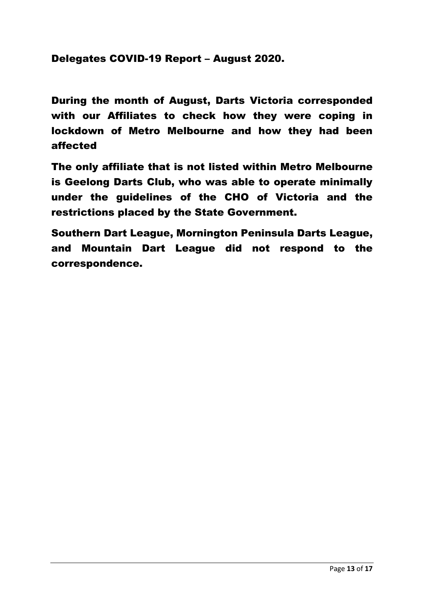# Delegates COVID-19 Report – August 2020.

During the month of August, Darts Victoria corresponded with our Affiliates to check how they were coping in lockdown of Metro Melbourne and how they had been affected

The only affiliate that is not listed within Metro Melbourne is Geelong Darts Club, who was able to operate minimally under the guidelines of the CHO of Victoria and the restrictions placed by the State Government.

Southern Dart League, Mornington Peninsula Darts League, and Mountain Dart League did not respond to the correspondence.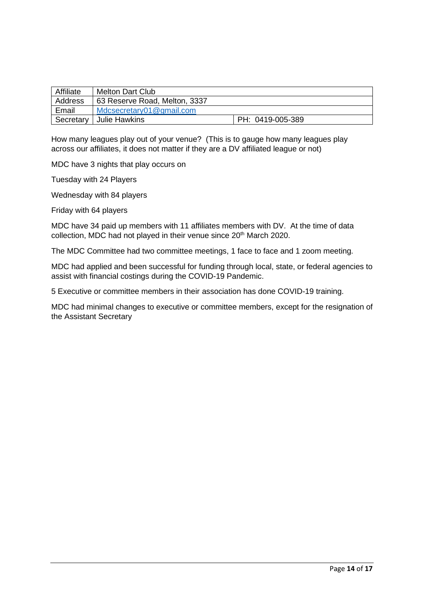| Affiliate | <b>Melton Dart Club</b>       |                  |
|-----------|-------------------------------|------------------|
| Address   | 63 Reserve Road, Melton, 3337 |                  |
| Email     | Mdcsecretary01@gmail.com      |                  |
| Secretary | Julie Hawkins                 | PH: 0419-005-389 |

How many leagues play out of your venue? (This is to gauge how many leagues play across our affiliates, it does not matter if they are a DV affiliated league or not)

MDC have 3 nights that play occurs on

Tuesday with 24 Players

Wednesday with 84 players

Friday with 64 players

MDC have 34 paid up members with 11 affiliates members with DV. At the time of data collection, MDC had not played in their venue since 20<sup>th</sup> March 2020.

The MDC Committee had two committee meetings, 1 face to face and 1 zoom meeting.

MDC had applied and been successful for funding through local, state, or federal agencies to assist with financial costings during the COVID-19 Pandemic.

5 Executive or committee members in their association has done COVID-19 training.

MDC had minimal changes to executive or committee members, except for the resignation of the Assistant Secretary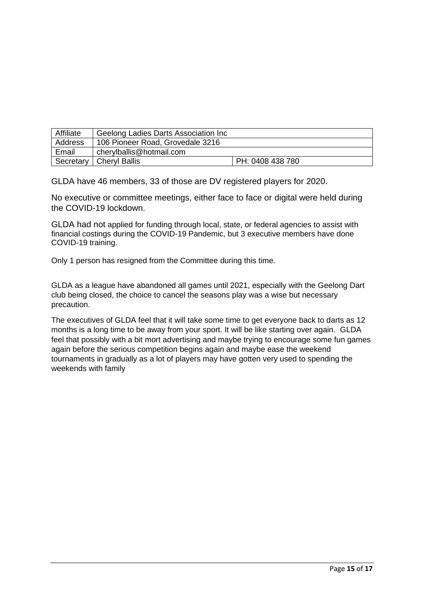| Affiliate | Geelong Ladies Darts Association Inc |                  |
|-----------|--------------------------------------|------------------|
| Address   | 106 Pioneer Road, Grovedale 3216     |                  |
| Email     | cherylballis@hotmail.com             |                  |
|           | Secretary   Cheryl Ballis            | PH: 0408 438 780 |

GLDA have 46 members, 33 of those are DV registered players for 2020.

No executive or committee meetings, either face to face or digital were held during the COVID-19 lockdown.

GLDA had not applied for funding through local, state, or federal agencies to assist with financial costings during the COVID-19 Pandemic, but 3 executive members have done COVID-19 training.

Only 1 person has resigned from the Committee during this time.

GLDA as a league have abandoned all games until 2021, especially with the Geelong Dart club being closed, the choice to cancel the seasons play was a wise but necessary precaution.

The executives of GLDA feel that it will take some time to get everyone back to darts as 12 months is a long time to be away from your sport. It will be like starting over again. GLDA feel that possibly with a bit mort advertising and maybe trying to encourage some fun games again before the serious competition begins again and maybe ease the weekend tournaments in gradually as a lot of players may have gotten very used to spending the weekends with family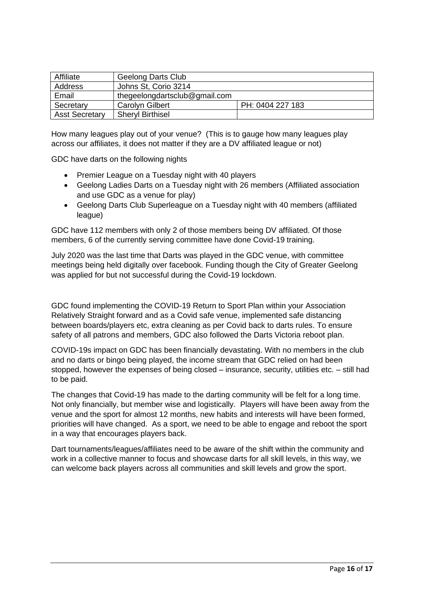| Affiliate             | <b>Geelong Darts Club</b>     |                  |
|-----------------------|-------------------------------|------------------|
| Address               | Johns St, Corio 3214          |                  |
| Email                 | thegeelongdartsclub@gmail.com |                  |
| Secretary             | <b>Carolyn Gilbert</b>        | PH: 0404 227 183 |
| <b>Asst Secretary</b> | <b>Sheryl Birthisel</b>       |                  |

How many leagues play out of your venue? (This is to gauge how many leagues play across our affiliates, it does not matter if they are a DV affiliated league or not)

GDC have darts on the following nights

- Premier League on a Tuesday night with 40 players
- Geelong Ladies Darts on a Tuesday night with 26 members (Affiliated association and use GDC as a venue for play)
- Geelong Darts Club Superleague on a Tuesday night with 40 members (affiliated league)

GDC have 112 members with only 2 of those members being DV affiliated. Of those members, 6 of the currently serving committee have done Covid-19 training.

July 2020 was the last time that Darts was played in the GDC venue, with committee meetings being held digitally over facebook. Funding though the City of Greater Geelong was applied for but not successful during the Covid-19 lockdown.

GDC found implementing the COVID-19 Return to Sport Plan within your Association Relatively Straight forward and as a Covid safe venue, implemented safe distancing between boards/players etc, extra cleaning as per Covid back to darts rules. To ensure safety of all patrons and members, GDC also followed the Darts Victoria reboot plan.

COVID-19s impact on GDC has been financially devastating. With no members in the club and no darts or bingo being played, the income stream that GDC relied on had been stopped, however the expenses of being closed – insurance, security, utilities etc. – still had to be paid.

The changes that Covid-19 has made to the darting community will be felt for a long time. Not only financially, but member wise and logistically. Players will have been away from the venue and the sport for almost 12 months, new habits and interests will have been formed, priorities will have changed. As a sport, we need to be able to engage and reboot the sport in a way that encourages players back.

Dart tournaments/leagues/affiliates need to be aware of the shift within the community and work in a collective manner to focus and showcase darts for all skill levels, in this way, we can welcome back players across all communities and skill levels and grow the sport.